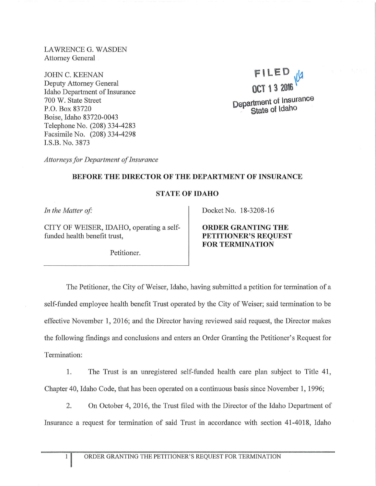LAWRENCE G. WASDEN Attorney General

JOHN C. KEENAN Deputy Attorney General Idaho Department of Insurance 700 W. State Street P.O. Box 83720 Boise, Idaho 83720-0043 Telephone No. (208) 334-4283 Facsimile No. (208) 334-4298 I.S.B. No. 3873

**\F\LED lJ1 OCT t 3 20\6** ~ **Department of Insurance State of Idaho** 

*Attorneys for Department of Insurance* 

## **BEFORE THE DIRECTOR OF THE DEPARTMENT OF INSURANCE**

## **STATE OF IDAHO**

In the Matter of:

CITY OF WEISER, IDAHO, operating a selffunded health benefit trust,

Petitioner.

Docket No. 18-3208-16

**ORDER GRANTING THE PETITIONER'S REQUEST FOR TERMINATION** 

The Petitioner, the City of Weiser, Idaho, having submitted a petition for termination of a self-funded employee health benefit Trust operated by the City of Weiser; said termination to be effective November 1, 2016; and the Director having reviewed said request, the Director makes the following findings and conclusions and enters an Order Granting the Petitioner's Request for Termination:

1. The Trust is an unregistered self-funded health care plan subject to Title 41, Chapter 40, Idaho Code, that has been operated on a continuous basis since November 1, 1996;

2. On October 4, 2016, the Trust filed with the Director of the Idaho Department of Insurance a request for termination of said Trust in accordance with section 41-4018, Idaho

 $\mathbf{1}$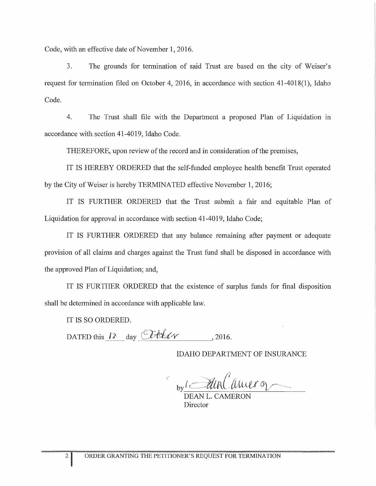Code, with an effective date of November 1, 2016.

3. The grounds for termination of said Trust are based on the city of Weiser's request for termination filed on October 4, 2016, in accordance with section 41-4018(1), Idaho Code.

4. The Trust shall file with the Department a proposed Plan of Liquidation in accordance with section 41-4019, Idaho Code.

THEREFORE, upon review of the record and in consideration of the premises,

IT IS HEREBY ORDERED that the self-funded employee health benefit Trust operated by the City of Weiser is hereby TERMINATED effective November 1, 2016;

IT IS FURTHER ORDERED that the Trust submit a fair and equitable Plan of Liquidation for approval in accordance with section 41-4019, Idaho Code;

IT IS FURTHER ORDERED that any balance remaining after payment or adequate provision of all claims and charges against the Trust fund shall be disposed in accordance with the approved Plan of Liquidation; and,

IT IS FURTHER ORDERED that the existence of surplus funds for final disposition shall be determined in accordance with applicable law.

IT IS SO ORDERED.

DATED this  $12$  day  $\mathbb{C}$ til  $\mathcal{U}$  . 2016.

IDAHO DEPARTMENT OF INSURANCE

 $b_y$ i *Mullaner* 

DEAN L. CAMERON Director

2